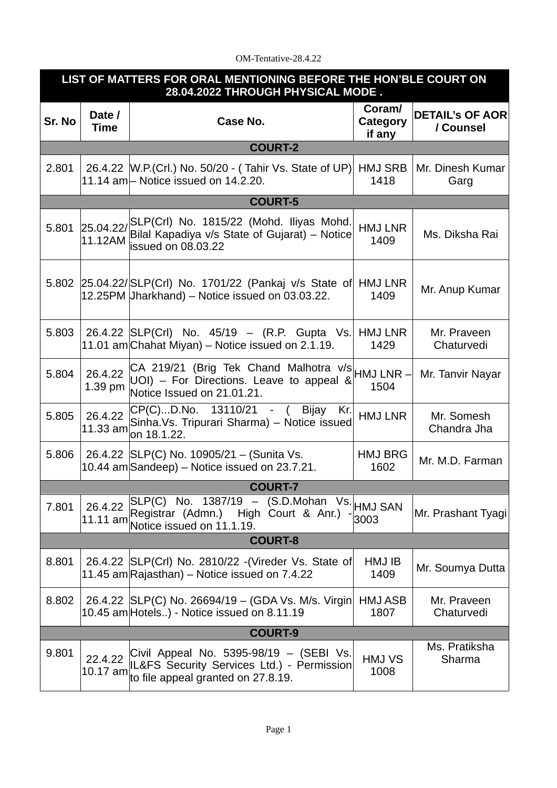## OM-Tentative-28.4.22

| LIST OF MATTERS FOR ORAL MENTIONING BEFORE THE HON'BLE COURT ON<br>28.04.2022 THROUGH PHYSICAL MODE. |                       |                                                                                                                                 |                              |                                     |  |  |  |
|------------------------------------------------------------------------------------------------------|-----------------------|---------------------------------------------------------------------------------------------------------------------------------|------------------------------|-------------------------------------|--|--|--|
| Sr. No                                                                                               | Date /<br><b>Time</b> | Case No.                                                                                                                        | Coram/<br>Category<br>if any | <b>DETAIL'S OF AOR</b><br>/ Counsel |  |  |  |
| <b>COURT-2</b>                                                                                       |                       |                                                                                                                                 |                              |                                     |  |  |  |
| 2.801                                                                                                |                       | 26.4.22   W.P. (Crl.) No. 50/20 - (Tahir Vs. State of UP)<br>11.14 $am$ – Notice issued on 14.2.20.                             | <b>HMJ SRB</b><br>1418       | Mr. Dinesh Kumar<br>Garg            |  |  |  |
| <b>COURT-5</b>                                                                                       |                       |                                                                                                                                 |                              |                                     |  |  |  |
| 5.801                                                                                                | 25.04.22/<br>11.12AM  | SLP(Crl) No. 1815/22 (Mohd. Iliyas Mohd.<br>Bilal Kapadiya v/s State of Gujarat) – Notice<br>issued on 08.03.22                 | <b>HMJ LNR</b><br>1409       | Ms. Diksha Rai                      |  |  |  |
| 5.802                                                                                                |                       | 25.04.22/ SLP(Crl) No. 1701/22 (Pankaj v/s State of<br>12.25PM Jharkhand) - Notice issued on 03.03.22.                          | <b>HMJ LNR</b><br>1409       | Mr. Anup Kumar                      |  |  |  |
| 5.803                                                                                                |                       | 26.4.22 SLP(Crl) No. 45/19 - (R.P. Gupta Vs.<br>11.01 am Chahat Miyan) – Notice issued on 2.1.19.                               | HMJ LNR<br>1429              | Mr. Praveen<br>Chaturvedi           |  |  |  |
| 5.804                                                                                                | 26.4.22<br>1.39 pm    | CA 219/21 (Brig Tek Chand Malhotra $v/s$ HMJ LNR -<br>$UOI$ ) – For Directions. Leave to appeal &<br>Notice Issued on 21.01.21. | 1504                         | Mr. Tanvir Nayar                    |  |  |  |
| 5.805                                                                                                | 26.4.22<br>11.33 am   | CP(C)D.No. 13110/21 - ( Bijay Kr.<br>Sinha. Vs. Tripurari Sharma) - Notice issued<br>on 18.1.22.                                | <b>HMJ LNR</b>               | Mr. Somesh<br>Chandra Jha           |  |  |  |
| 5.806                                                                                                |                       | 26.4.22 SLP(C) No. 10905/21 - (Sunita Vs.<br>10.44 am Sandeep) – Notice issued on 23.7.21.                                      | <b>HMJ BRG</b><br>1602       | Mr. M.D. Farman                     |  |  |  |
| <b>COURT-7</b>                                                                                       |                       |                                                                                                                                 |                              |                                     |  |  |  |
| 7.801                                                                                                | 26.4.22<br>11.11 am   | SLP(C) No. 1387/19 - (S.D.Mohan Vs.<br>Registrar (Admn.) High Court & Anr.)<br>Notice issued on 11.1.19.                        | <b>HMJ SAN</b><br>3003       | Mr. Prashant Tyagi                  |  |  |  |
| <b>COURT-8</b>                                                                                       |                       |                                                                                                                                 |                              |                                     |  |  |  |
| 8.801                                                                                                |                       | 26.4.22 SLP(Crl) No. 2810/22 - (Vireder Vs. State of<br>11.45 am Rajasthan) – Notice issued on 7.4.22                           | HMJ IB<br>1409               | Mr. Soumya Dutta                    |  |  |  |
| 8.802                                                                                                |                       | 26.4.22 SLP(C) No. 26694/19 - (GDA Vs. M/s. Virgin<br>10.45 am Hotels) - Notice issued on 8.11.19                               | <b>HMJ ASB</b><br>1807       | Mr. Praveen<br>Chaturvedi           |  |  |  |
| <b>COURT-9</b>                                                                                       |                       |                                                                                                                                 |                              |                                     |  |  |  |
| 9.801                                                                                                | 22.4.22<br>10.17 am   | Civil Appeal No. 5395-98/19 - (SEBI Vs.<br>IL&FS Security Services Ltd.) - Permission<br>to file appeal granted on 27.8.19.     | HMJ VS<br>1008               | Ms. Pratiksha<br>Sharma             |  |  |  |